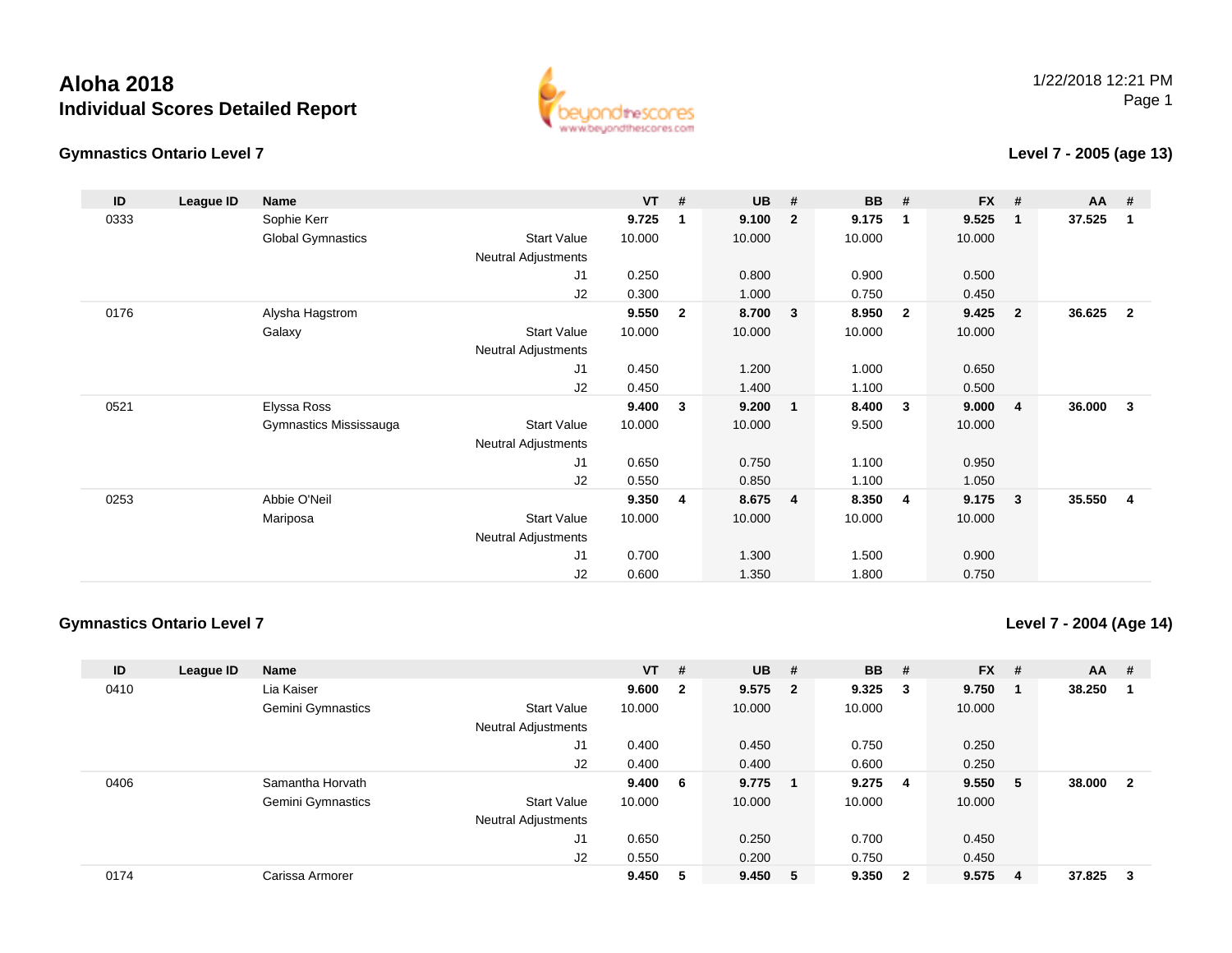**Gymnastics Ontario Level 7**



#### **Level 7 - 2005 (age 13)**

| ID   | League ID | <b>Name</b>              |                            | $VT$ # |                | <b>UB</b> | #                       | <b>BB</b> | #                       | <b>FX</b> | #              | $AA$ # |                |
|------|-----------|--------------------------|----------------------------|--------|----------------|-----------|-------------------------|-----------|-------------------------|-----------|----------------|--------|----------------|
| 0333 |           | Sophie Kerr              |                            | 9.725  | 1              | 9.100     | $\overline{2}$          | 9.175     | -1                      | 9.525     | $\mathbf 1$    | 37.525 | 1              |
|      |           | <b>Global Gymnastics</b> | <b>Start Value</b>         | 10.000 |                | 10.000    |                         | 10.000    |                         | 10.000    |                |        |                |
|      |           |                          | <b>Neutral Adjustments</b> |        |                |           |                         |           |                         |           |                |        |                |
|      |           |                          | J1                         | 0.250  |                | 0.800     |                         | 0.900     |                         | 0.500     |                |        |                |
|      |           |                          | J2                         | 0.300  |                | 1.000     |                         | 0.750     |                         | 0.450     |                |        |                |
| 0176 |           | Alysha Hagstrom          |                            | 9.550  | $\overline{2}$ | 8.700     | $\overline{\mathbf{3}}$ | 8.950     | $\overline{\mathbf{2}}$ | 9.425     | $\overline{2}$ | 36.625 | $\overline{2}$ |
|      |           | Galaxy                   | <b>Start Value</b>         | 10.000 |                | 10.000    |                         | 10.000    |                         | 10.000    |                |        |                |
|      |           |                          | Neutral Adjustments        |        |                |           |                         |           |                         |           |                |        |                |
|      |           |                          | J1                         | 0.450  |                | 1.200     |                         | 1.000     |                         | 0.650     |                |        |                |
|      |           |                          | J2                         | 0.450  |                | 1.400     |                         | 1.100     |                         | 0.500     |                |        |                |
| 0521 |           | Elyssa Ross              |                            | 9.400  | 3              | 9.200     | $\mathbf{1}$            | 8.400     | $\mathbf{3}$            | 9.000     | $\overline{4}$ | 36.000 | 3              |
|      |           | Gymnastics Mississauga   | <b>Start Value</b>         | 10.000 |                | 10.000    |                         | 9.500     |                         | 10.000    |                |        |                |
|      |           |                          | <b>Neutral Adjustments</b> |        |                |           |                         |           |                         |           |                |        |                |
|      |           |                          | J1                         | 0.650  |                | 0.750     |                         | 1.100     |                         | 0.950     |                |        |                |
|      |           |                          | J2                         | 0.550  |                | 0.850     |                         | 1.100     |                         | 1.050     |                |        |                |
| 0253 |           | Abbie O'Neil             |                            | 9.350  | $\overline{4}$ | 8.675     | $\overline{4}$          | 8.350     | 4                       | 9.175     | $\mathbf{3}$   | 35.550 | 4              |
|      |           | Mariposa                 | <b>Start Value</b>         | 10.000 |                | 10.000    |                         | 10.000    |                         | 10.000    |                |        |                |
|      |           |                          | <b>Neutral Adjustments</b> |        |                |           |                         |           |                         |           |                |        |                |
|      |           |                          | J1                         | 0.700  |                | 1.300     |                         | 1.500     |                         | 0.900     |                |        |                |
|      |           |                          | J2                         | 0.600  |                | 1.350     |                         | 1.800     |                         | 0.750     |                |        |                |

#### **Gymnastics Ontario Level 7**

**Level 7 - 2004 (Age 14)**

| ID   | League ID | <b>Name</b>       |                     | $VT$ #  |                | <b>UB</b> | #                       | <b>BB</b> | #                       | <b>FX</b> | #  | <b>AA</b> | #            |
|------|-----------|-------------------|---------------------|---------|----------------|-----------|-------------------------|-----------|-------------------------|-----------|----|-----------|--------------|
| 0410 |           | Lia Kaiser        |                     | 9.600   | $\overline{2}$ | 9.575     | $\overline{\mathbf{2}}$ | 9.325     | - 3                     | 9.750     |    | 38.250    |              |
|      |           | Gemini Gymnastics | <b>Start Value</b>  | 10.000  |                | 10.000    |                         | 10.000    |                         | 10.000    |    |           |              |
|      |           |                   | Neutral Adjustments |         |                |           |                         |           |                         |           |    |           |              |
|      |           |                   | J1                  | 0.400   |                | 0.450     |                         | 0.750     |                         | 0.250     |    |           |              |
|      |           |                   | J2                  | 0.400   |                | 0.400     |                         | 0.600     |                         | 0.250     |    |           |              |
| 0406 |           | Samantha Horvath  |                     | 9.400 6 |                | 9.775     |                         | 9.275     | 4                       | 9.550     | -5 | 38.000    | $\mathbf{2}$ |
|      |           | Gemini Gymnastics | <b>Start Value</b>  | 10.000  |                | 10.000    |                         | 10.000    |                         | 10.000    |    |           |              |
|      |           |                   | Neutral Adjustments |         |                |           |                         |           |                         |           |    |           |              |
|      |           |                   | J1                  | 0.650   |                | 0.250     |                         | 0.700     |                         | 0.450     |    |           |              |
|      |           |                   | J2                  | 0.550   |                | 0.200     |                         | 0.750     |                         | 0.450     |    |           |              |
| 0174 |           | Carissa Armorer   |                     | 9.450   | 5              | 9.450     | - 5                     | 9.350     | $\overline{\mathbf{2}}$ | 9.575     | 4  | 37.825    | 3            |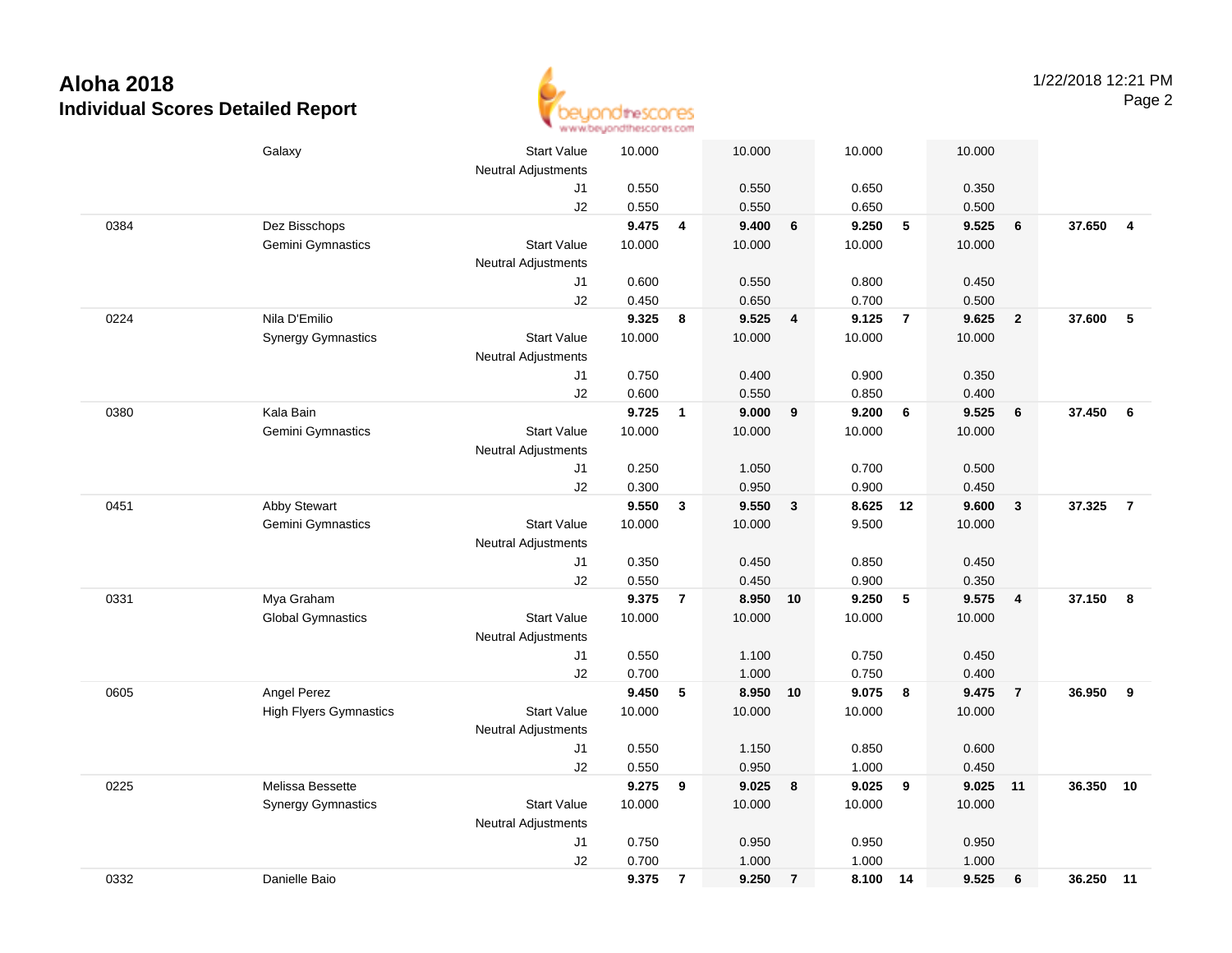

|      | Galaxy                        | <b>Start Value</b>         | 10.000 |                | 10.000   |                | 10.000 |                 | 10.000 |                         |        |                         |
|------|-------------------------------|----------------------------|--------|----------------|----------|----------------|--------|-----------------|--------|-------------------------|--------|-------------------------|
|      |                               | <b>Neutral Adjustments</b> |        |                |          |                |        |                 |        |                         |        |                         |
|      |                               | J1                         | 0.550  |                | 0.550    |                | 0.650  |                 | 0.350  |                         |        |                         |
|      |                               | J2                         | 0.550  |                | 0.550    |                | 0.650  |                 | 0.500  |                         |        |                         |
| 0384 | Dez Bisschops                 |                            | 9.475  | $\overline{4}$ | 9.400    | $\bf 6$        | 9.250  | 5               | 9.525  | $6\phantom{1}6$         | 37.650 | $\overline{\mathbf{4}}$ |
|      | Gemini Gymnastics             | <b>Start Value</b>         | 10.000 |                | 10.000   |                | 10.000 |                 | 10.000 |                         |        |                         |
|      |                               | <b>Neutral Adjustments</b> |        |                |          |                |        |                 |        |                         |        |                         |
|      |                               | J1                         | 0.600  |                | 0.550    |                | 0.800  |                 | 0.450  |                         |        |                         |
|      |                               | J2                         | 0.450  |                | 0.650    |                | 0.700  |                 | 0.500  |                         |        |                         |
| 0224 | Nila D'Emilio                 |                            | 9.325  | 8              | 9.525    | 4              | 9.125  | $\overline{7}$  | 9.625  | $\overline{2}$          | 37.600 | $\sqrt{5}$              |
|      | <b>Synergy Gymnastics</b>     | <b>Start Value</b>         | 10.000 |                | 10.000   |                | 10.000 |                 | 10.000 |                         |        |                         |
|      |                               | Neutral Adjustments        |        |                |          |                |        |                 |        |                         |        |                         |
|      |                               | J1                         | 0.750  |                | 0.400    |                | 0.900  |                 | 0.350  |                         |        |                         |
|      |                               | J2                         | 0.600  |                | 0.550    |                | 0.850  |                 | 0.400  |                         |        |                         |
| 0380 | Kala Bain                     |                            | 9.725  | 1              | 9.000    | 9              | 9.200  | $6\phantom{1}6$ | 9.525  | $\bf 6$                 | 37.450 | 6                       |
|      | Gemini Gymnastics             | <b>Start Value</b>         | 10.000 |                | 10.000   |                | 10.000 |                 | 10.000 |                         |        |                         |
|      |                               | Neutral Adjustments        |        |                |          |                |        |                 |        |                         |        |                         |
|      |                               | J1                         | 0.250  |                | 1.050    |                | 0.700  |                 | 0.500  |                         |        |                         |
|      |                               | J2                         | 0.300  |                | 0.950    |                | 0.900  |                 | 0.450  |                         |        |                         |
| 0451 | Abby Stewart                  |                            | 9.550  | $\mathbf{3}$   | 9.550    | $\mathbf{3}$   | 8.625  | 12              | 9.600  | $\overline{\mathbf{3}}$ | 37.325 | $\overline{7}$          |
|      | Gemini Gymnastics             | <b>Start Value</b>         | 10.000 |                | 10.000   |                | 9.500  |                 | 10.000 |                         |        |                         |
|      |                               | <b>Neutral Adjustments</b> |        |                |          |                |        |                 |        |                         |        |                         |
|      |                               | J1                         | 0.350  |                | 0.450    |                | 0.850  |                 | 0.450  |                         |        |                         |
|      |                               | J2                         | 0.550  |                | 0.450    |                | 0.900  |                 | 0.350  |                         |        |                         |
| 0331 | Mya Graham                    |                            | 9.375  | $\overline{7}$ | 8.950    | 10             | 9.250  | 5               | 9.575  | $\overline{4}$          | 37.150 | 8                       |
|      | <b>Global Gymnastics</b>      | <b>Start Value</b>         | 10.000 |                | 10.000   |                | 10.000 |                 | 10.000 |                         |        |                         |
|      |                               | Neutral Adjustments        |        |                |          |                |        |                 |        |                         |        |                         |
|      |                               | J1                         | 0.550  |                | 1.100    |                | 0.750  |                 | 0.450  |                         |        |                         |
|      |                               | J2                         | 0.700  |                | 1.000    |                | 0.750  |                 | 0.400  |                         |        |                         |
| 0605 | Angel Perez                   |                            | 9.450  | 5              | 8.950 10 |                | 9.075  | 8               | 9.475  | $\overline{7}$          | 36.950 | 9                       |
|      | <b>High Flyers Gymnastics</b> | <b>Start Value</b>         | 10.000 |                | 10.000   |                | 10.000 |                 | 10.000 |                         |        |                         |
|      |                               | Neutral Adjustments        |        |                |          |                |        |                 |        |                         |        |                         |
|      |                               | J1                         | 0.550  |                | 1.150    |                | 0.850  |                 | 0.600  |                         |        |                         |
|      |                               | J2                         | 0.550  |                | 0.950    |                | 1.000  |                 | 0.450  |                         |        |                         |
| 0225 | Melissa Bessette              |                            | 9.275  | 9              | 9.025    | 8              | 9.025  | 9               | 9.025  | 11                      | 36.350 | 10                      |
|      | <b>Synergy Gymnastics</b>     | <b>Start Value</b>         | 10.000 |                | 10.000   |                | 10.000 |                 | 10.000 |                         |        |                         |
|      |                               | Neutral Adjustments        |        |                |          |                |        |                 |        |                         |        |                         |
|      |                               | J1                         | 0.750  |                | 0.950    |                | 0.950  |                 | 0.950  |                         |        |                         |
|      |                               | J2                         | 0.700  |                | 1.000    |                | 1.000  |                 | 1.000  |                         |        |                         |
| 0332 | Danielle Baio                 |                            | 9.375  | $\overline{7}$ | 9.250    | $\overline{7}$ | 8.100  | 14              | 9.525  | 6                       | 36.250 | 11                      |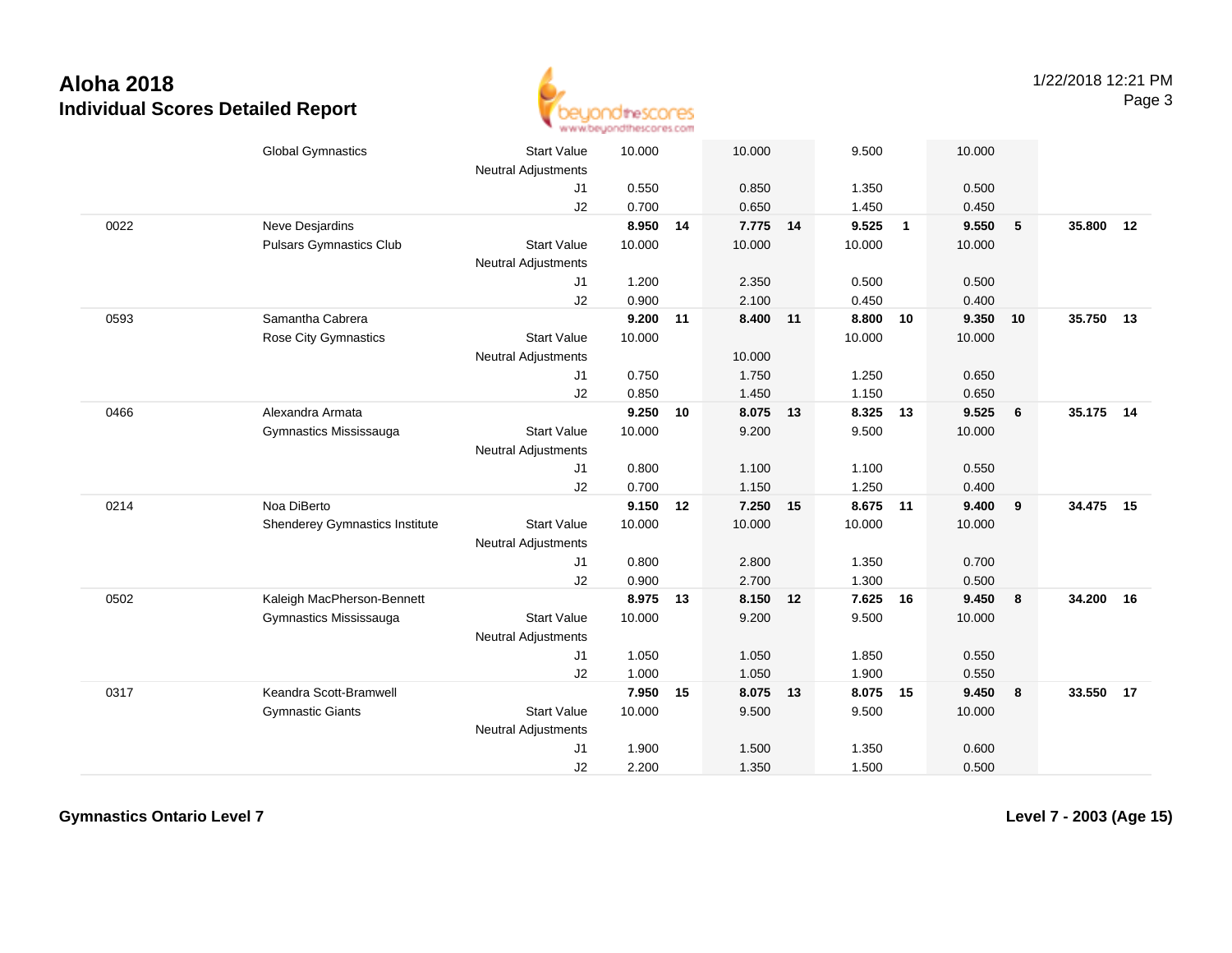

|      | <b>Global Gymnastics</b>       | <b>Start Value</b><br><b>Neutral Adjustments</b> | 10.000   |    | 10.000   |    | 9.500    |                | 10.000   |                         |           |    |
|------|--------------------------------|--------------------------------------------------|----------|----|----------|----|----------|----------------|----------|-------------------------|-----------|----|
|      |                                | J <sub>1</sub>                                   | 0.550    |    | 0.850    |    | 1.350    |                | 0.500    |                         |           |    |
|      |                                | J2                                               | 0.700    |    | 0.650    |    | 1.450    |                | 0.450    |                         |           |    |
| 0022 | Neve Desjardins                |                                                  | 8.950    | 14 | 7.775 14 |    | 9.525    | $\overline{1}$ | 9.550    | 5                       | 35,800    | 12 |
|      | <b>Pulsars Gymnastics Club</b> | <b>Start Value</b>                               | 10.000   |    | 10.000   |    | 10.000   |                | 10.000   |                         |           |    |
|      |                                | <b>Neutral Adjustments</b>                       |          |    |          |    |          |                |          |                         |           |    |
|      |                                | J1                                               | 1.200    |    | 2.350    |    | 0.500    |                | 0.500    |                         |           |    |
|      |                                | J2                                               | 0.900    |    | 2.100    |    | 0.450    |                | 0.400    |                         |           |    |
| 0593 | Samantha Cabrera               |                                                  | 9.200 11 |    | 8.400 11 |    | 8.800 10 |                | 9.350 10 |                         | 35.750 13 |    |
|      | Rose City Gymnastics           | <b>Start Value</b>                               | 10.000   |    |          |    | 10.000   |                | 10.000   |                         |           |    |
|      |                                | <b>Neutral Adjustments</b>                       |          |    | 10.000   |    |          |                |          |                         |           |    |
|      |                                | J <sub>1</sub>                                   | 0.750    |    | 1.750    |    | 1.250    |                | 0.650    |                         |           |    |
|      |                                | J2                                               | 0.850    |    | 1.450    |    | 1.150    |                | 0.650    |                         |           |    |
| 0466 | Alexandra Armata               |                                                  | 9.250    | 10 | 8.075    | 13 | 8.325    | 13             | 9.525    | 6                       | 35.175 14 |    |
|      | Gymnastics Mississauga         | <b>Start Value</b>                               | 10.000   |    | 9.200    |    | 9.500    |                | 10.000   |                         |           |    |
|      |                                | <b>Neutral Adjustments</b>                       |          |    |          |    |          |                |          |                         |           |    |
|      |                                | J1                                               | 0.800    |    | 1.100    |    | 1.100    |                | 0.550    |                         |           |    |
|      |                                | J2                                               | 0.700    |    | 1.150    |    | 1.250    |                | 0.400    |                         |           |    |
| 0214 | Noa DiBerto                    |                                                  | 9.150    | 12 | 7.250    | 15 | 8.675    | 11             | 9.400    | $\overline{9}$          | 34.475 15 |    |
|      | Shenderey Gymnastics Institute | <b>Start Value</b>                               | 10.000   |    | 10.000   |    | 10.000   |                | 10.000   |                         |           |    |
|      |                                | <b>Neutral Adjustments</b>                       |          |    |          |    |          |                |          |                         |           |    |
|      |                                | J1                                               | 0.800    |    | 2.800    |    | 1.350    |                | 0.700    |                         |           |    |
|      |                                | J2                                               | 0.900    |    | 2.700    |    | 1.300    |                | 0.500    |                         |           |    |
| 0502 | Kaleigh MacPherson-Bennett     |                                                  | 8.975    | 13 | 8.150    | 12 | 7.625    | 16             | 9.450    | $\overline{\mathbf{8}}$ | 34.200    | 16 |
|      | Gymnastics Mississauga         | <b>Start Value</b>                               | 10.000   |    | 9.200    |    | 9.500    |                | 10.000   |                         |           |    |
|      |                                | <b>Neutral Adjustments</b>                       |          |    |          |    |          |                |          |                         |           |    |
|      |                                | J1                                               | 1.050    |    | 1.050    |    | 1.850    |                | 0.550    |                         |           |    |
|      |                                | J2                                               | 1.000    |    | 1.050    |    | 1.900    |                | 0.550    |                         |           |    |
| 0317 | Keandra Scott-Bramwell         |                                                  | 7.950    | 15 | 8.075 13 |    | 8.075 15 |                | 9.450    | $\overline{\mathbf{8}}$ | 33.550    | 17 |
|      | <b>Gymnastic Giants</b>        | <b>Start Value</b>                               | 10.000   |    | 9.500    |    | 9.500    |                | 10.000   |                         |           |    |
|      |                                | <b>Neutral Adjustments</b>                       |          |    |          |    |          |                |          |                         |           |    |
|      |                                | J1                                               | 1.900    |    | 1.500    |    | 1.350    |                | 0.600    |                         |           |    |
|      |                                | J2                                               | 2.200    |    | 1.350    |    | 1.500    |                | 0.500    |                         |           |    |

**Gymnastics Ontario Level 7**

**Level 7 - 2003 (Age 15)**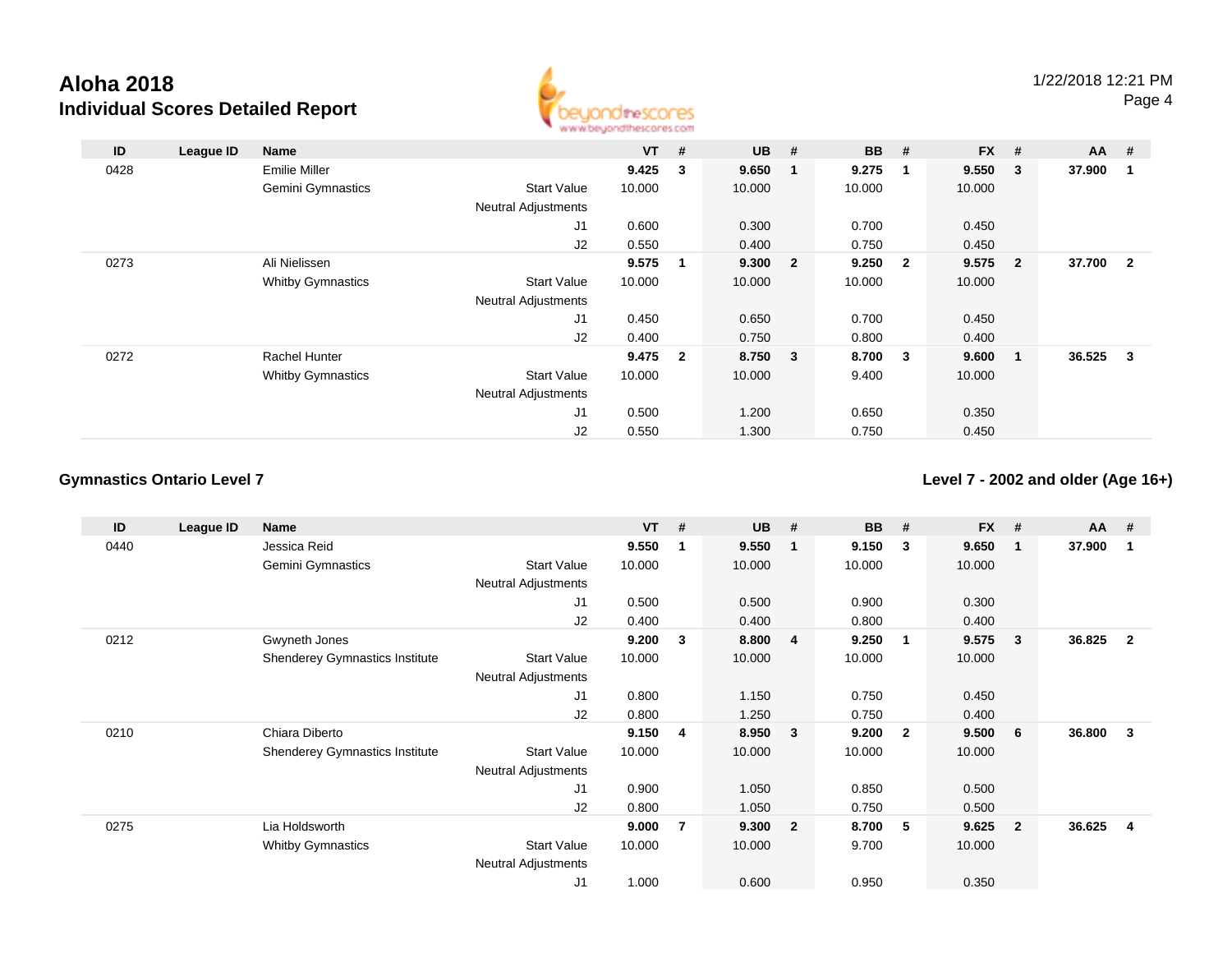

| ID   | League ID | Name                     |                            | <b>VT</b> | #              | <b>UB</b> | #              | <b>BB</b> | #              | <b>FX</b> | #                       | $AA$ #   |                         |
|------|-----------|--------------------------|----------------------------|-----------|----------------|-----------|----------------|-----------|----------------|-----------|-------------------------|----------|-------------------------|
| 0428 |           | Emilie Miller            |                            | 9.425     | 3              | 9.650     | 1              | 9.275     |                | 9.550     | $\overline{\mathbf{3}}$ | 37.900   | -1                      |
|      |           | <b>Gemini Gymnastics</b> | <b>Start Value</b>         | 10.000    |                | 10.000    |                | 10.000    |                | 10.000    |                         |          |                         |
|      |           |                          | <b>Neutral Adjustments</b> |           |                |           |                |           |                |           |                         |          |                         |
|      |           |                          | J1                         | 0.600     |                | 0.300     |                | 0.700     |                | 0.450     |                         |          |                         |
|      |           |                          | J2                         | 0.550     |                | 0.400     |                | 0.750     |                | 0.450     |                         |          |                         |
| 0273 |           | Ali Nielissen            |                            | 9.575     | 1              | 9.300     | $\overline{2}$ | 9.250     | $\overline{2}$ | 9.575     | $\overline{\mathbf{2}}$ | 37.700 2 |                         |
|      |           | <b>Whitby Gymnastics</b> | <b>Start Value</b>         | 10.000    |                | 10.000    |                | 10.000    |                | 10.000    |                         |          |                         |
|      |           |                          | <b>Neutral Adjustments</b> |           |                |           |                |           |                |           |                         |          |                         |
|      |           |                          | J <sub>1</sub>             | 0.450     |                | 0.650     |                | 0.700     |                | 0.450     |                         |          |                         |
|      |           |                          | J2                         | 0.400     |                | 0.750     |                | 0.800     |                | 0.400     |                         |          |                         |
| 0272 |           | <b>Rachel Hunter</b>     |                            | 9.475     | $\overline{2}$ | 8.750 3   |                | 8.700     | 3              | 9.600     | $\blacksquare$          | 36.525   | $\overline{\mathbf{3}}$ |
|      |           | <b>Whitby Gymnastics</b> | <b>Start Value</b>         | 10.000    |                | 10.000    |                | 9.400     |                | 10.000    |                         |          |                         |
|      |           |                          | <b>Neutral Adjustments</b> |           |                |           |                |           |                |           |                         |          |                         |
|      |           |                          | J <sub>1</sub>             | 0.500     |                | 1.200     |                | 0.650     |                | 0.350     |                         |          |                         |
|      |           |                          | J2                         | 0.550     |                | 1.300     |                | 0.750     |                | 0.450     |                         |          |                         |

## **Gymnastics Ontario Level 7**

**Level 7 - 2002 and older (Age 16+)**

| ID   | League ID | Name                                  |                            | $VT$ # |                | <b>UB</b> | #                       | <b>BB</b> | #                       | $FX$ # |                | $AA$ # |                         |
|------|-----------|---------------------------------------|----------------------------|--------|----------------|-----------|-------------------------|-----------|-------------------------|--------|----------------|--------|-------------------------|
| 0440 |           | Jessica Reid                          |                            | 9.550  |                | 9.550     | -1                      | 9.150     | 3                       | 9.650  | 1              | 37.900 | 1                       |
|      |           | Gemini Gymnastics                     | <b>Start Value</b>         | 10.000 |                | 10.000    |                         | 10.000    |                         | 10.000 |                |        |                         |
|      |           |                                       | Neutral Adjustments        |        |                |           |                         |           |                         |        |                |        |                         |
|      |           |                                       | J1                         | 0.500  |                | 0.500     |                         | 0.900     |                         | 0.300  |                |        |                         |
|      |           |                                       | J2                         | 0.400  |                | 0.400     |                         | 0.800     |                         | 0.400  |                |        |                         |
| 0212 |           | Gwyneth Jones                         |                            | 9.200  | 3              | 8.800     | $\overline{4}$          | 9.250     | $\mathbf{1}$            | 9.575  | 3              | 36.825 | $\overline{\mathbf{2}}$ |
|      |           | <b>Shenderey Gymnastics Institute</b> | <b>Start Value</b>         | 10.000 |                | 10.000    |                         | 10.000    |                         | 10.000 |                |        |                         |
|      |           |                                       | <b>Neutral Adjustments</b> |        |                |           |                         |           |                         |        |                |        |                         |
|      |           |                                       | J1                         | 0.800  |                | 1.150     |                         | 0.750     |                         | 0.450  |                |        |                         |
|      |           |                                       | J2                         | 0.800  |                | 1.250     |                         | 0.750     |                         | 0.400  |                |        |                         |
| 0210 |           | Chiara Diberto                        |                            | 9.150  | 4              | 8.950     | $\overline{\mathbf{3}}$ | 9.200     | $\overline{\mathbf{2}}$ | 9.500  | 6              | 36.800 | 3                       |
|      |           | <b>Shenderey Gymnastics Institute</b> | <b>Start Value</b>         | 10.000 |                | 10.000    |                         | 10.000    |                         | 10.000 |                |        |                         |
|      |           |                                       | <b>Neutral Adjustments</b> |        |                |           |                         |           |                         |        |                |        |                         |
|      |           |                                       | J <sub>1</sub>             | 0.900  |                | 1.050     |                         | 0.850     |                         | 0.500  |                |        |                         |
|      |           |                                       | J2                         | 0.800  |                | 1.050     |                         | 0.750     |                         | 0.500  |                |        |                         |
| 0275 |           | Lia Holdsworth                        |                            | 9.000  | $\overline{7}$ | 9.300     | $\overline{\mathbf{2}}$ | 8.700     | -5                      | 9.625  | $\overline{2}$ | 36.625 | 4                       |
|      |           | <b>Whitby Gymnastics</b>              | <b>Start Value</b>         | 10.000 |                | 10.000    |                         | 9.700     |                         | 10.000 |                |        |                         |
|      |           |                                       | <b>Neutral Adjustments</b> |        |                |           |                         |           |                         |        |                |        |                         |
|      |           |                                       | J <sub>1</sub>             | 1.000  |                | 0.600     |                         | 0.950     |                         | 0.350  |                |        |                         |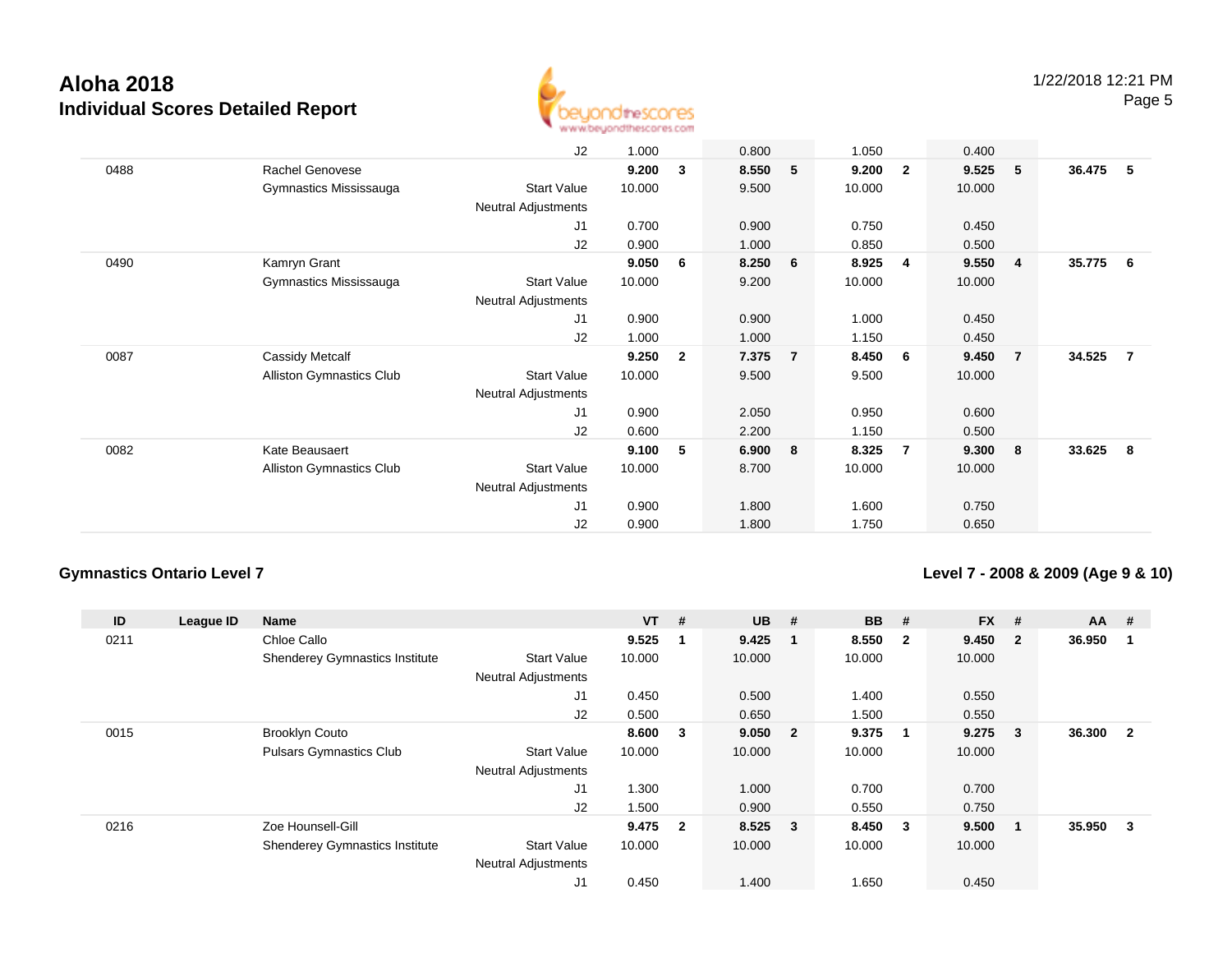

|      |                                 | J2                         | 1.000  |                | 0.800 |                | 1.050  |                         | 0.400  |                         |        |    |
|------|---------------------------------|----------------------------|--------|----------------|-------|----------------|--------|-------------------------|--------|-------------------------|--------|----|
| 0488 | Rachel Genovese                 |                            | 9.200  | 3              | 8.550 | 5              | 9.200  | $\overline{\mathbf{2}}$ | 9.525  | - 5                     | 36.475 | -5 |
|      | Gymnastics Mississauga          | <b>Start Value</b>         | 10.000 |                | 9.500 |                | 10.000 |                         | 10.000 |                         |        |    |
|      |                                 | Neutral Adjustments        |        |                |       |                |        |                         |        |                         |        |    |
|      |                                 | J1                         | 0.700  |                | 0.900 |                | 0.750  |                         | 0.450  |                         |        |    |
|      |                                 | J2                         | 0.900  |                | 1.000 |                | 0.850  |                         | 0.500  |                         |        |    |
| 0490 | Kamryn Grant                    |                            | 9.050  | 6              | 8.250 | 6              | 8.925  | $\overline{\mathbf{4}}$ | 9.550  | $\overline{\mathbf{4}}$ | 35.775 | -6 |
|      | Gymnastics Mississauga          | <b>Start Value</b>         | 10.000 |                | 9.200 |                | 10.000 |                         | 10.000 |                         |        |    |
|      |                                 | Neutral Adjustments        |        |                |       |                |        |                         |        |                         |        |    |
|      |                                 | J <sub>1</sub>             | 0.900  |                | 0.900 |                | 1.000  |                         | 0.450  |                         |        |    |
|      |                                 | J2                         | 1.000  |                | 1.000 |                | 1.150  |                         | 0.450  |                         |        |    |
| 0087 | Cassidy Metcalf                 |                            | 9.250  | $\overline{2}$ | 7.375 | $\overline{7}$ | 8.450  | 6                       | 9.450  | $\overline{7}$          | 34.525 | 7  |
|      | <b>Alliston Gymnastics Club</b> | <b>Start Value</b>         | 10.000 |                | 9.500 |                | 9.500  |                         | 10.000 |                         |        |    |
|      |                                 | <b>Neutral Adjustments</b> |        |                |       |                |        |                         |        |                         |        |    |
|      |                                 | J1                         | 0.900  |                | 2.050 |                | 0.950  |                         | 0.600  |                         |        |    |
|      |                                 | J2                         | 0.600  |                | 2.200 |                | 1.150  |                         | 0.500  |                         |        |    |
| 0082 | Kate Beausaert                  |                            | 9.100  | 5              | 6.900 | 8              | 8.325  | $\overline{7}$          | 9.300  | 8                       | 33.625 | 8  |
|      | Alliston Gymnastics Club        | Start Value                | 10.000 |                | 8.700 |                | 10.000 |                         | 10.000 |                         |        |    |
|      |                                 | Neutral Adjustments        |        |                |       |                |        |                         |        |                         |        |    |
|      |                                 | J1                         | 0.900  |                | 1.800 |                | 1.600  |                         | 0.750  |                         |        |    |
|      |                                 | J2                         | 0.900  |                | 1.800 |                | 1.750  |                         | 0.650  |                         |        |    |
|      |                                 |                            |        |                |       |                |        |                         |        |                         |        |    |

## **Gymnastics Ontario Level 7**

**Level 7 - 2008 & 2009 (Age 9 & 10)**

| ID   | League ID | <b>Name</b>                           |                            | <b>VT</b> | #   | <b>UB</b> | #                       | <b>BB</b> | #              | <b>FX</b> | #              | $AA$ # |                |
|------|-----------|---------------------------------------|----------------------------|-----------|-----|-----------|-------------------------|-----------|----------------|-----------|----------------|--------|----------------|
| 0211 |           | Chloe Callo                           |                            | 9.525     | - 1 | 9.425     | - 1                     | 8.550     | - 2            | 9.450     | $\overline{2}$ | 36.950 |                |
|      |           | <b>Shenderey Gymnastics Institute</b> | <b>Start Value</b>         | 10.000    |     | 10.000    |                         | 10.000    |                | 10.000    |                |        |                |
|      |           |                                       | <b>Neutral Adjustments</b> |           |     |           |                         |           |                |           |                |        |                |
|      |           |                                       | J <sub>1</sub>             | 0.450     |     | 0.500     |                         | 1.400     |                | 0.550     |                |        |                |
|      |           |                                       | J2                         | 0.500     |     | 0.650     |                         | 1.500     |                | 0.550     |                |        |                |
| 0015 |           | <b>Brooklyn Couto</b>                 |                            | 8.600     | 3   | 9.050     | $\overline{\mathbf{2}}$ | 9.375     | $\overline{1}$ | 9.275     | 3              | 36.300 | $\overline{2}$ |
|      |           | <b>Pulsars Gymnastics Club</b>        | <b>Start Value</b>         | 10.000    |     | 10.000    |                         | 10.000    |                | 10.000    |                |        |                |
|      |           |                                       | <b>Neutral Adjustments</b> |           |     |           |                         |           |                |           |                |        |                |
|      |           |                                       | J1                         | 1.300     |     | 1.000     |                         | 0.700     |                | 0.700     |                |        |                |
|      |           |                                       | J2                         | 1.500     |     | 0.900     |                         | 0.550     |                | 0.750     |                |        |                |
| 0216 |           | Zoe Hounsell-Gill                     |                            | 9.475 2   |     | 8.525     | $\overline{\mathbf{3}}$ | 8.450     | - 3            | 9.500     |                | 35.950 | 3              |
|      |           | <b>Shenderey Gymnastics Institute</b> | <b>Start Value</b>         | 10.000    |     | 10.000    |                         | 10.000    |                | 10.000    |                |        |                |
|      |           |                                       | <b>Neutral Adjustments</b> |           |     |           |                         |           |                |           |                |        |                |
|      |           |                                       | J1                         | 0.450     |     | 1.400     |                         | 1.650     |                | 0.450     |                |        |                |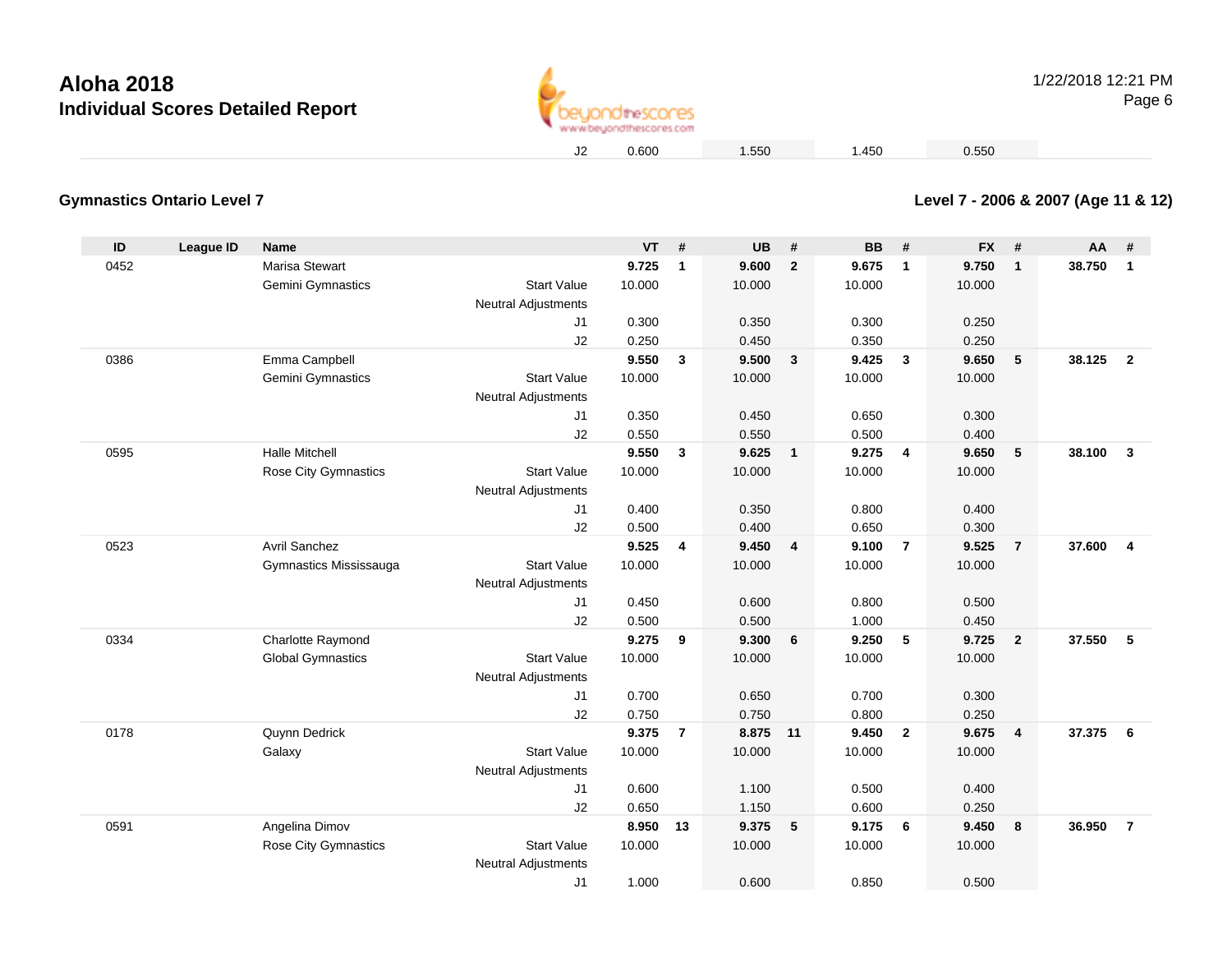**Gymnastics Ontario Level 7**



1/22/2018 12:21 PMPage 6

0.600 1.550 1.450 0.550

## **Level 7 - 2006 & 2007 (Age 11 & 12)**

| ID   | League ID | <b>Name</b>              |                                                  | $VT$ # |                         | <b>UB</b> | #              | <b>BB</b> | #                       | <b>FX</b> | #              | AA     | #                       |
|------|-----------|--------------------------|--------------------------------------------------|--------|-------------------------|-----------|----------------|-----------|-------------------------|-----------|----------------|--------|-------------------------|
| 0452 |           | Marisa Stewart           |                                                  | 9.725  | $\mathbf 1$             | 9.600     | $\overline{2}$ | 9.675     | $\overline{\mathbf{1}}$ | 9.750     | $\mathbf{1}$   | 38.750 | $\mathbf{1}$            |
|      |           | Gemini Gymnastics        | <b>Start Value</b>                               | 10.000 |                         | 10.000    |                | 10.000    |                         | 10.000    |                |        |                         |
|      |           |                          | Neutral Adjustments                              |        |                         |           |                |           |                         |           |                |        |                         |
|      |           |                          | J <sub>1</sub>                                   | 0.300  |                         | 0.350     |                | 0.300     |                         | 0.250     |                |        |                         |
|      |           |                          | J2                                               | 0.250  |                         | 0.450     |                | 0.350     |                         | 0.250     |                |        |                         |
| 0386 |           | Emma Campbell            |                                                  | 9.550  | 3                       | 9.500     | $\mathbf{3}$   | 9.425     | $\mathbf{3}$            | 9.650     | 5              | 38.125 | $\overline{2}$          |
|      |           | Gemini Gymnastics        | <b>Start Value</b>                               | 10.000 |                         | 10.000    |                | 10.000    |                         | 10.000    |                |        |                         |
|      |           |                          | <b>Neutral Adjustments</b>                       |        |                         |           |                |           |                         |           |                |        |                         |
|      |           |                          | J <sub>1</sub>                                   | 0.350  |                         | 0.450     |                | 0.650     |                         | 0.300     |                |        |                         |
|      |           |                          | J2                                               | 0.550  |                         | 0.550     |                | 0.500     |                         | 0.400     |                |        |                         |
| 0595 |           | <b>Halle Mitchell</b>    |                                                  | 9.550  | 3                       | 9.625     | $\overline{1}$ | 9.275     | $\overline{4}$          | 9.650     | 5              | 38.100 | $\mathbf{3}$            |
|      |           | Rose City Gymnastics     | <b>Start Value</b>                               | 10.000 |                         | 10.000    |                | 10.000    |                         | 10.000    |                |        |                         |
|      |           |                          | <b>Neutral Adjustments</b>                       |        |                         |           |                |           |                         |           |                |        |                         |
|      |           |                          | J1                                               | 0.400  |                         | 0.350     |                | 0.800     |                         | 0.400     |                |        |                         |
|      |           |                          | J2                                               | 0.500  |                         | 0.400     |                | 0.650     |                         | 0.300     |                |        |                         |
| 0523 |           | <b>Avril Sanchez</b>     |                                                  | 9.525  | $\overline{\mathbf{4}}$ | 9.450     | 4              | 9.100     | $\overline{7}$          | 9.525     | $\overline{7}$ | 37.600 | $\overline{\mathbf{4}}$ |
|      |           | Gymnastics Mississauga   | <b>Start Value</b>                               | 10.000 |                         | 10.000    |                | 10.000    |                         | 10.000    |                |        |                         |
|      |           |                          | <b>Neutral Adjustments</b>                       |        |                         |           |                |           |                         |           |                |        |                         |
|      |           |                          | J <sub>1</sub>                                   | 0.450  |                         | 0.600     |                | 0.800     |                         | 0.500     |                |        |                         |
|      |           |                          | J2                                               | 0.500  |                         | 0.500     |                | 1.000     |                         | 0.450     |                |        |                         |
| 0334 |           | Charlotte Raymond        |                                                  | 9.275  | 9                       | 9.300     | 6              | 9.250     | 5                       | 9.725     | $\overline{2}$ | 37.550 | 5                       |
|      |           | <b>Global Gymnastics</b> | <b>Start Value</b><br><b>Neutral Adjustments</b> | 10.000 |                         | 10.000    |                | 10.000    |                         | 10.000    |                |        |                         |
|      |           |                          | J <sub>1</sub>                                   | 0.700  |                         | 0.650     |                | 0.700     |                         | 0.300     |                |        |                         |
|      |           |                          | J2                                               | 0.750  |                         | 0.750     |                | 0.800     |                         | 0.250     |                |        |                         |
| 0178 |           | Quynn Dedrick            |                                                  | 9.375  | $\overline{7}$          | 8.875 11  |                | 9.450     | $\overline{2}$          | 9.675     | $\overline{4}$ | 37,375 | 6                       |
|      |           | Galaxy                   | <b>Start Value</b>                               | 10.000 |                         | 10.000    |                | 10.000    |                         | 10.000    |                |        |                         |
|      |           |                          | <b>Neutral Adjustments</b>                       |        |                         |           |                |           |                         |           |                |        |                         |
|      |           |                          | J1                                               | 0.600  |                         | 1.100     |                | 0.500     |                         | 0.400     |                |        |                         |
|      |           |                          | J2                                               | 0.650  |                         | 1.150     |                | 0.600     |                         | 0.250     |                |        |                         |
| 0591 |           | Angelina Dimov           |                                                  | 8.950  | 13                      | 9.375     | 5              | 9.175     | 6                       | 9.450     | 8              | 36.950 | $\overline{7}$          |
|      |           | Rose City Gymnastics     | <b>Start Value</b>                               | 10.000 |                         | 10.000    |                | 10.000    |                         | 10.000    |                |        |                         |
|      |           |                          | <b>Neutral Adjustments</b>                       |        |                         |           |                |           |                         |           |                |        |                         |
|      |           |                          | J <sub>1</sub>                                   | 1.000  |                         | 0.600     |                | 0.850     |                         | 0.500     |                |        |                         |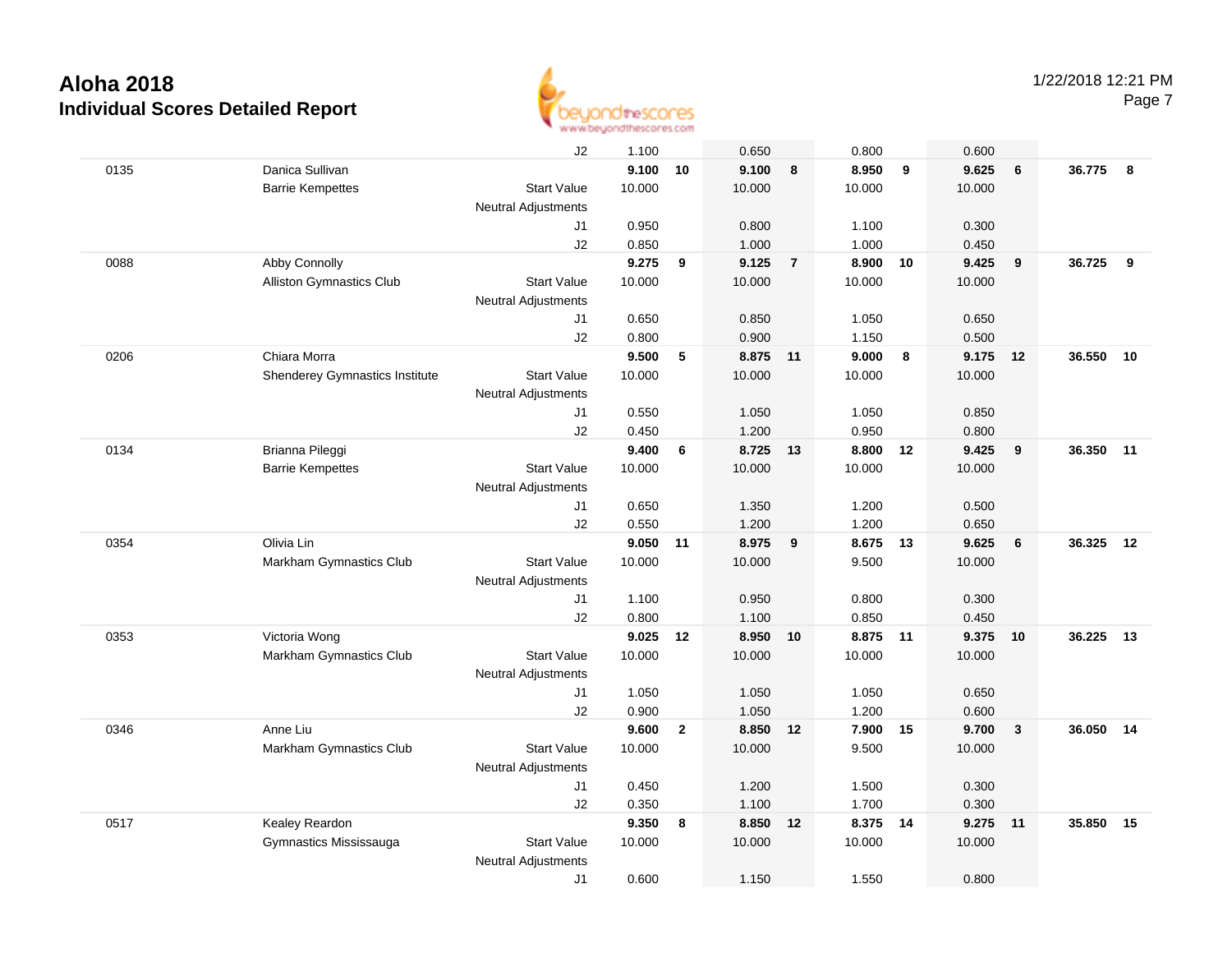

|      |                                 | J2                         | 1.100  |                | 0.650    |                | 0.800    |    | 0.600  |              |        |       |
|------|---------------------------------|----------------------------|--------|----------------|----------|----------------|----------|----|--------|--------------|--------|-------|
| 0135 | Danica Sullivan                 |                            | 9.100  | 10             | 9.100    | 8              | 8.950    | 9  | 9.625  | 6            | 36.775 | 8     |
|      | <b>Barrie Kempettes</b>         | <b>Start Value</b>         | 10.000 |                | 10.000   |                | 10.000   |    | 10.000 |              |        |       |
|      |                                 | <b>Neutral Adjustments</b> |        |                |          |                |          |    |        |              |        |       |
|      |                                 | J1                         | 0.950  |                | 0.800    |                | 1.100    |    | 0.300  |              |        |       |
|      |                                 | J2                         | 0.850  |                | 1.000    |                | 1.000    |    | 0.450  |              |        |       |
| 0088 | Abby Connolly                   |                            | 9.275  | 9              | 9.125    | $\overline{7}$ | 8.900    | 10 | 9.425  | 9            | 36.725 | 9     |
|      | <b>Alliston Gymnastics Club</b> | <b>Start Value</b>         | 10.000 |                | 10.000   |                | 10.000   |    | 10.000 |              |        |       |
|      |                                 | <b>Neutral Adjustments</b> |        |                |          |                |          |    |        |              |        |       |
|      |                                 | J1                         | 0.650  |                | 0.850    |                | 1.050    |    | 0.650  |              |        |       |
|      |                                 | J2                         | 0.800  |                | 0.900    |                | 1.150    |    | 0.500  |              |        |       |
| 0206 | Chiara Morra                    |                            | 9.500  | 5              | 8.875 11 |                | 9.000    | 8  | 9.175  | 12           | 36.550 | 10    |
|      | Shenderey Gymnastics Institute  | <b>Start Value</b>         | 10.000 |                | 10.000   |                | 10.000   |    | 10.000 |              |        |       |
|      |                                 | <b>Neutral Adjustments</b> |        |                |          |                |          |    |        |              |        |       |
|      |                                 | J1                         | 0.550  |                | 1.050    |                | 1.050    |    | 0.850  |              |        |       |
|      |                                 | J2                         | 0.450  |                | 1.200    |                | 0.950    |    | 0.800  |              |        |       |
| 0134 | Brianna Pileggi                 |                            | 9.400  | 6              | 8.725    | 13             | 8.800    | 12 | 9.425  | 9            | 36.350 | $-11$ |
|      | <b>Barrie Kempettes</b>         | <b>Start Value</b>         | 10.000 |                | 10.000   |                | 10.000   |    | 10.000 |              |        |       |
|      |                                 | <b>Neutral Adjustments</b> |        |                |          |                |          |    |        |              |        |       |
|      |                                 | J1                         | 0.650  |                | 1.350    |                | 1.200    |    | 0.500  |              |        |       |
|      |                                 | J2                         | 0.550  |                | 1.200    |                | 1.200    |    | 0.650  |              |        |       |
| 0354 | Olivia Lin                      |                            | 9.050  | 11             | 8.975    | 9              | 8.675    | 13 | 9.625  | 6            | 36.325 | 12    |
|      | Markham Gymnastics Club         | <b>Start Value</b>         | 10.000 |                | 10.000   |                | 9.500    |    | 10.000 |              |        |       |
|      |                                 | <b>Neutral Adjustments</b> |        |                |          |                |          |    |        |              |        |       |
|      |                                 | J1                         | 1.100  |                | 0.950    |                | 0.800    |    | 0.300  |              |        |       |
|      |                                 | J2                         | 0.800  |                | 1.100    |                | 0.850    |    | 0.450  |              |        |       |
| 0353 | Victoria Wong                   |                            | 9.025  | 12             | 8.950    | 10             | 8.875    | 11 | 9.375  | 10           | 36.225 | -13   |
|      | Markham Gymnastics Club         | <b>Start Value</b>         | 10.000 |                | 10.000   |                | 10.000   |    | 10.000 |              |        |       |
|      |                                 | <b>Neutral Adjustments</b> |        |                |          |                |          |    |        |              |        |       |
|      |                                 | J1                         | 1.050  |                | 1.050    |                | 1.050    |    | 0.650  |              |        |       |
|      |                                 | J2                         | 0.900  |                | 1.050    |                | 1.200    |    | 0.600  |              |        |       |
| 0346 | Anne Liu                        |                            | 9.600  | $\overline{2}$ | 8.850    | 12             | 7.900 15 |    | 9.700  | $\mathbf{3}$ | 36.050 | 14    |
|      | Markham Gymnastics Club         | <b>Start Value</b>         | 10.000 |                | 10.000   |                | 9.500    |    | 10.000 |              |        |       |
|      |                                 | <b>Neutral Adjustments</b> |        |                |          |                |          |    |        |              |        |       |
|      |                                 | J1                         | 0.450  |                | 1.200    |                | 1.500    |    | 0.300  |              |        |       |
|      |                                 | J2                         | 0.350  |                | 1.100    |                | 1.700    |    | 0.300  |              |        |       |
| 0517 | Kealey Reardon                  |                            | 9.350  | 8              | 8.850    | 12             | 8.375    | 14 | 9.275  | 11           | 35.850 | 15    |
|      | Gymnastics Mississauga          | <b>Start Value</b>         | 10.000 |                | 10.000   |                | 10.000   |    | 10.000 |              |        |       |
|      |                                 | <b>Neutral Adjustments</b> |        |                |          |                |          |    |        |              |        |       |
|      |                                 | J1                         | 0.600  |                | 1.150    |                | 1.550    |    | 0.800  |              |        |       |
|      |                                 |                            |        |                |          |                |          |    |        |              |        |       |